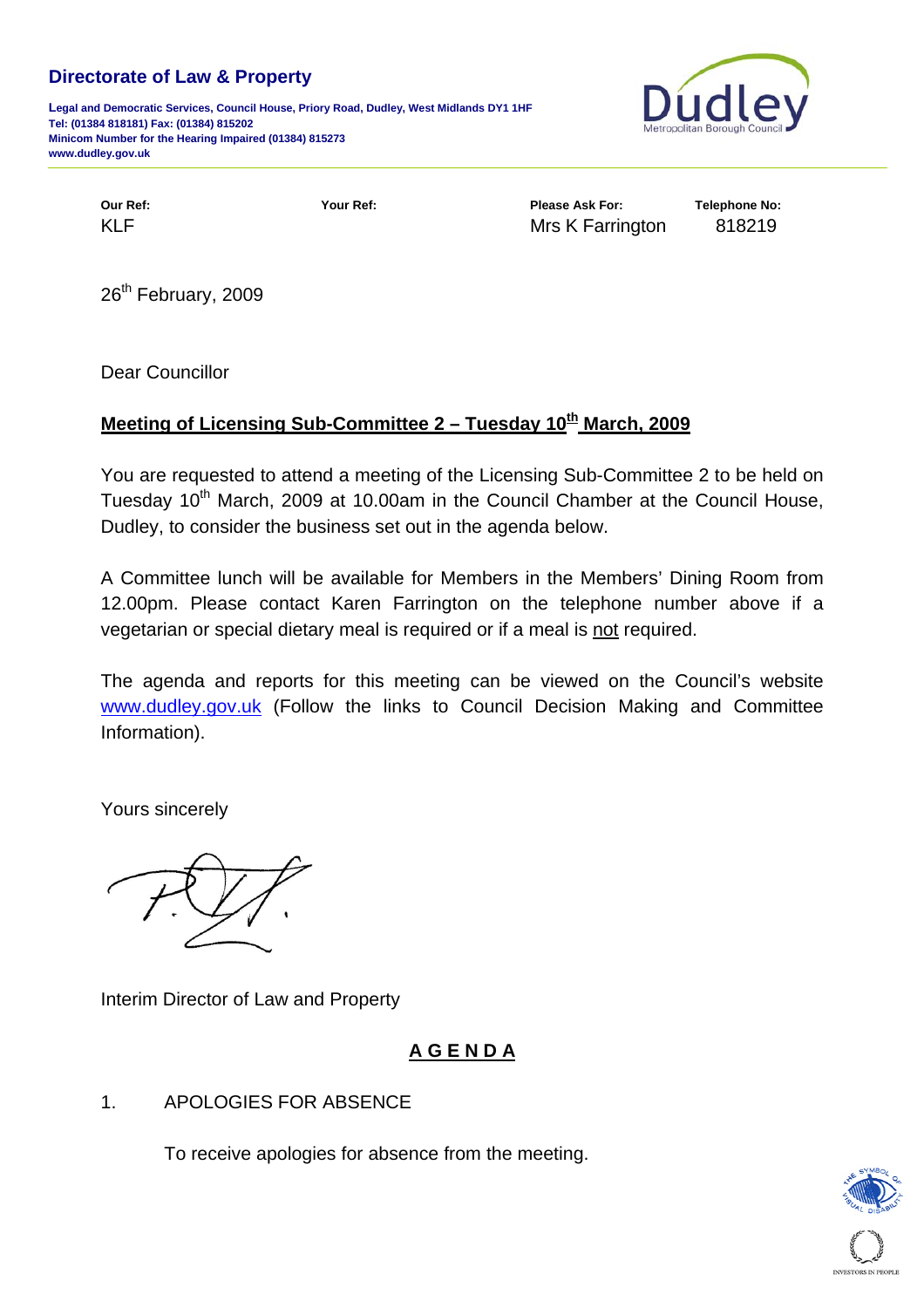### **Directorate of Law & Property**

**Legal and Democratic Services, Council House, Priory Road, Dudley, West Midlands DY1 1HF Tel: (01384 818181) Fax: (01384) 815202 Minicom Number for the Hearing Impaired (01384) 815273 www.dudley.gov.uk**



**Our Ref: Your Ref: Please Ask For: Telephone No:**  KLF **KLF** Mrs K Farrington 818219

26<sup>th</sup> February, 2009

Dear Councillor

## **Meeting of Licensing Sub-Committee 2 – Tuesday 10th March, 2009**

You are requested to attend a meeting of the Licensing Sub-Committee 2 to be held on Tuesdav 10<sup>th</sup> March, 2009 at 10.00am in the Council Chamber at the Council House, Dudley, to consider the business set out in the agenda below.

A Committee lunch will be available for Members in the Members' Dining Room from 12.00pm. Please contact Karen Farrington on the telephone number above if a vegetarian or special dietary meal is required or if a meal is not required.

The agenda and reports for this meeting can be viewed on the Council's website [www.dudley.gov.uk](http://www.dudley.gov.uk/) (Follow the links to Council Decision Making and Committee Information).

Yours sincerely

Interim Director of Law and Property

# **A G E N D A**

### 1. APOLOGIES FOR ABSENCE

To receive apologies for absence from the meeting.